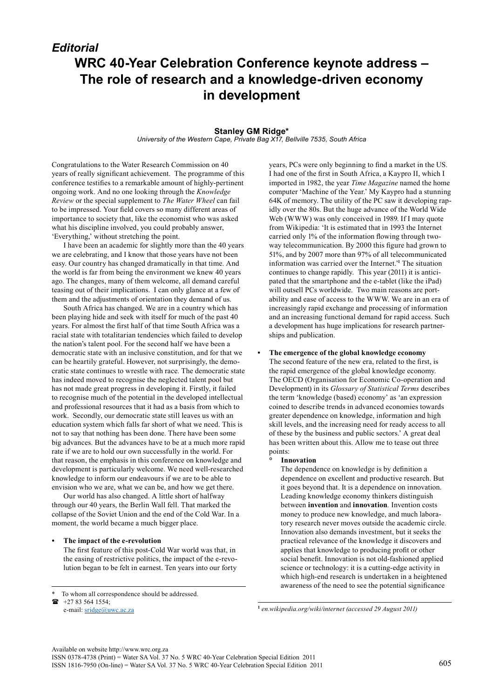# *Editorial* **WRC 40-Year Celebration Conference keynote address – The role of research and a knowledge-driven economy in development**

# **Stanley GM Ridge\***

*University of the Western Cape, Private Bag X17, Bellville 7535, South Africa*

Congratulations to the Water Research Commission on 40 years of really significant achievement. The programme of this conference testifies to a remarkable amount of highly-pertinent ongoing work. And no one looking through the *Knowledge Review* or the special supplement to *The Water Wheel* can fail to be impressed. Your field covers so many different areas of importance to society that, like the economist who was asked what his discipline involved, you could probably answer, 'Everything,' without stretching the point.

I have been an academic for slightly more than the 40 years we are celebrating, and I know that those years have not been easy. Our country has changed dramatically in that time. And the world is far from being the environment we knew 40 years ago. The changes, many of them welcome, all demand careful teasing out of their implications. I can only glance at a few of them and the adjustments of orientation they demand of us.

South Africa has changed. We are in a country which has been playing hide and seek with itself for much of the past 40 years. For almost the first half of that time South Africa was a racial state with totalitarian tendencies which failed to develop the nation's talent pool. For the second half we have been a democratic state with an inclusive constitution, and for that we can be heartily grateful. However, not surprisingly, the democratic state continues to wrestle with race. The democratic state has indeed moved to recognise the neglected talent pool but has not made great progress in developing it. Firstly, it failed to recognise much of the potential in the developed intellectual and professional resources that it had as a basis from which to work. Secondly, our democratic state still leaves us with an education system which falls far short of what we need. This is not to say that nothing has been done. There have been some big advances. But the advances have to be at a much more rapid rate if we are to hold our own successfully in the world. For that reason, the emphasis in this conference on knowledge and development is particularly welcome. We need well-researched knowledge to inform our endeavours if we are to be able to envision who we are, what we can be, and how we get there.

Our world has also changed. A little short of halfway through our 40 years, the Berlin Wall fell. That marked the collapse of the Soviet Union and the end of the Cold War. In a moment, the world became a much bigger place.

## **• The impact of the e-revolution**

The first feature of this post-Cold War world was that, in the easing of restrictive politics, the impact of the e-revolution began to be felt in earnest. Ten years into our forty

+27 83 564 1554;

e-mail: [sridge@uwc.ac.za](mailto:sridge@uwc.ac.za) 

years, PCs were only beginning to find a market in the US. I had one of the first in South Africa, a Kaypro II, which I imported in 1982, the year *Time Magazine* named the home computer 'Machine of the Year.' My Kaypro had a stunning 64K of memory. The utility of the PC saw it developing rapidly over the 80s. But the huge advance of the World Wide Web (WWW) was only conceived in 1989. If I may quote from Wikipedia: 'It is estimated that in 1993 the Internet carried only 1% of the information flowing through twoway telecommunication. By 2000 this figure had grown to 51%, and by 2007 more than 97% of all telecommunicated information was carried over the Internet.'**<sup>1</sup>** The situation continues to change rapidly. This year (2011) it is anticipated that the smartphone and the e-tablet (like the iPad) will outsell PCs worldwide. Two main reasons are portability and ease of access to the WWW. We are in an era of increasingly rapid exchange and processing of information and an increasing functional demand for rapid access. Such a development has huge implications for research partnerships and publication.

**• The emergence of the global knowledge economy** The second feature of the new era, related to the first, is the rapid emergence of the global knowledge economy. The OECD (Organisation for Economic Co-operation and Development) in its *Glossary of Statistical Terms* describes the term 'knowledge (based) economy' as 'an expression coined to describe trends in advanced economies towards greater dependence on knowledge, information and high skill levels, and the increasing need for ready access to all of these by the business and public sectors.' A great deal has been written about this. Allow me to tease out three points:

## **Innovation**

The dependence on knowledge is by definition a dependence on excellent and productive research. But it goes beyond that. It is a dependence on innovation. Leading knowledge economy thinkers distinguish between **invention** and **innovation***.* Invention costs money to produce new knowledge, and much laboratory research never moves outside the academic circle. Innovation also demands investment, but it seeks the practical relevance of the knowledge it discovers and applies that knowledge to producing profit or other social benefit. Innovation is not old-fashioned applied science or technology: it is a cutting-edge activity in which high-end research is undertaken in a heightened awareness of the need to see the potential significance

**1**  *en.wikipedia.org/wiki/internet (accessed 29 August 2011)*

To whom all correspondence should be addressed.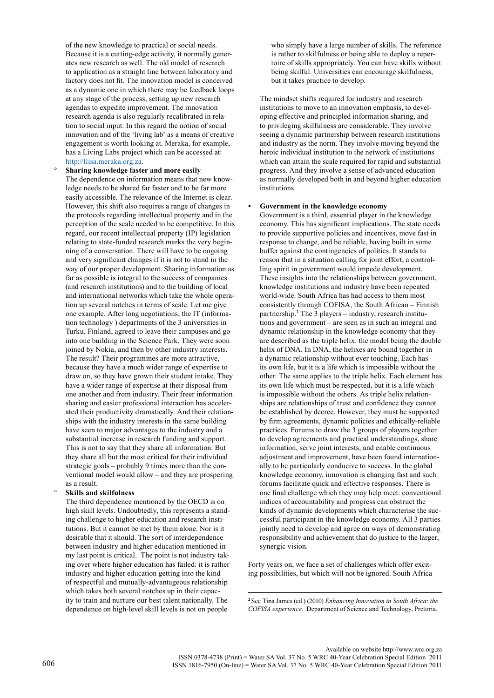of the new knowledge to practical or social needs. Because it is a cutting-edge activity, it normally generates new research as well. The old model of research to application as a straight line between laboratory and factory does not fit. The innovation model is conceived as a dynamic one in which there may be feedback loops at any stage of the process, setting up new research agendas to expedite improvement. The innovation research agenda is also regularly recalibrated in relation to social input. In this regard the notion of social innovation and of the 'living lab' as a means of creative engagement is worth looking at. Meraka, for example, has a Living Labs project which can be accessed at: [http://llisa.meraka.org.za.](http://llisa.meraka.org.za)

° **Sharing knowledge faster and more easily** The dependence on information means that new knowledge needs to be shared far faster and to be far more easily accessible. The relevance of the Internet is clear. However, this shift also requires a range of changes in the protocols regarding intellectual property and in the perception of the scale needed to be competitive. In this regard, our recent intellectual property (IP) legislation relating to state-funded research marks the very beginning of a conversation. There will have to be ongoing and very significant changes if it is not to stand in the way of our proper development. Sharing information as far as possible is integral to the success of companies (and research institutions) and to the building of local and international networks which take the whole operation up several notches in terms of scale. Let me give one example. After long negotiations, the IT (information technology ) departments of the 3 universities in Turku, Finland, agreed to leave their campuses and go into one building in the Science Park. They were soon joined by Nokia, and then by other industry interests. The result? Their programmes are more attractive, because they have a much wider range of expertise to draw on, so they have grown their student intake. They have a wider range of expertise at their disposal from one another and from industry. Their freer information sharing and easier professional interaction has accelerated their productivity dramatically. And their relationships with the industry interests in the same building have seen to major advantages to the industry and a substantial increase in research funding and support. This is not to say that they share all information. But they share all but the most critical for their individual strategic goals – probably 9 times more than the conventional model would allow – and they are prospering as a result.

## ° **Skills and skilfulness**

 The third dependence mentioned by the OECD is on high skill levels. Undoubtedly, this represents a standing challenge to higher education and research institutions. But it cannot be met by them alone. Nor is it desirable that it should. The sort of interdependence between industry and higher education mentioned in my last point is critical. The point is not industry taking over where higher education has failed: it is rather industry and higher education getting into the kind of respectful and mutually-advantageous relationship which takes both several notches up in their capacity to train and nurture our best talent nationally. The dependence on high-level skill levels is not on people

who simply have a large number of skills. The reference is rather to skilfulness or being able to deploy a repertoire of skills appropriately. You can have skills without being skilful. Universities can encourage skilfulness, but it takes practice to develop.

The mindset shifts required for industry and research institutions to move to an innovation emphasis, to developing effective and principled information sharing, and to privileging skilfulness are considerable. They involve seeing a dynamic partnership between research institutions and industry as the norm. They involve moving beyond the heroic individual institution to the network of institutions which can attain the scale required for rapid and substantial progress. And they involve a sense of advanced education as normally developed both in and beyond higher education institutions.

#### **• Government in the knowledge economy**

Government is a third, essential player in the knowledge economy. This has significant implications. The state needs to provide supportive policies and incentives, move fast in response to change, and be reliable, having built in some buffer against the contingencies of politics. It stands to reason that in a situation calling for joint effort, a controlling spirit in government would impede development. These insights into the relationships between government, knowledge institutions and industry have been repeated world-wide. South Africa has had access to them most consistently through COFISA, the South African – Finnish partnership.**<sup>2</sup>** The 3 players – industry, research institutions and government – are seen as in such an integral and dynamic relationship in the knowledge economy that they are described as the triple helix: the model being the double helix of DNA. In DNA, the helixes are bound together in a dynamic relationship without ever touching. Each has its own life, but it is a life which is impossible without the other. The same applies to the triple helix. Each element has its own life which must be respected, but it is a life which is impossible without the others. As triple helix relationships are relationships of trust and confidence they cannot be established by decree. However, they must be supported by firm agreements, dynamic policies and ethically-reliable practices. Forums to draw the 3 groups of players together to develop agreements and practical understandings, share information, serve joint interests, and enable continuous adjustment and improvement, have been found internationally to be particularly conducive to success. In the global knowledge economy, innovation is changing fast and such forums facilitate quick and effective responses. There is one final challenge which they may help meet: conventional indices of accountability and progress can obstruct the kinds of dynamic developments which characterise the successful participant in the knowledge economy. All 3 parties jointly need to develop and agree on ways of demonstrating responsibility and achievement that do justice to the larger, synergic vision.

Forty years on, we face a set of challenges which offer exciting possibilities, but which will not be ignored. South Africa

**<sup>2</sup>** See Tina James (ed.) (2010) *Enhancing Innovation in South Africa: the COFISA experience.* Department of Science and Technology, Pretoria.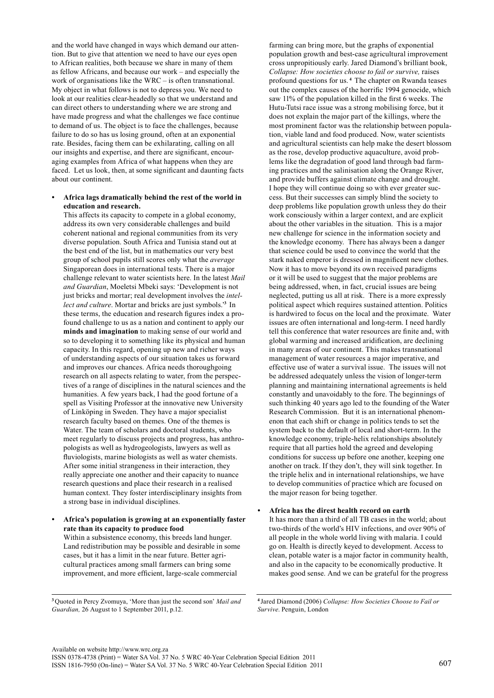and the world have changed in ways which demand our attention. But to give that attention we need to have our eyes open to African realities, both because we share in many of them as fellow Africans, and because our work – and especially the work of organisations like the WRC – is often transnational. My object in what follows is not to depress you. We need to look at our realities clear-headedly so that we understand and can direct others to understanding where we are strong and have made progress and what the challenges we face continue to demand of us. The object is to face the challenges, because failure to do so has us losing ground, often at an exponential rate. Besides, facing them can be exhilarating, calling on all our insights and expertise, and there are significant, encouraging examples from Africa of what happens when they are faced. Let us look, then, at some significant and daunting facts about our continent.

# **• Africa lags dramatically behind the rest of the world in education and research.**

This affects its capacity to compete in a global economy, address its own very considerable challenges and build coherent national and regional communities from its very diverse population. South Africa and Tunisia stand out at the best end of the list, but in mathematics our very best group of school pupils still scores only what the *average*  Singaporean does in international tests. There is a major challenge relevant to water scientists here. In the latest *Mail and Guardian*, Moeletsi Mbeki says: 'Development is not just bricks and mortar; real development involves the *intellect and culture*. Mortar and bricks are just symbols.'**<sup>3</sup>** In these terms, the education and research figures index a profound challenge to us as a nation and continent to apply our **minds and imagination** to making sense of our world and so to developing it to something like its physical and human capacity. In this regard, opening up new and richer ways of understanding aspects of our situation takes us forward and improves our chances. Africa needs thoroughgoing research on all aspects relating to water, from the perspectives of a range of disciplines in the natural sciences and the humanities. A few years back, I had the good fortune of a spell as Visiting Professor at the innovative new University of Linköping in Sweden. They have a major specialist research faculty based on themes. One of the themes is Water. The team of scholars and doctoral students, who meet regularly to discuss projects and progress, has anthropologists as well as hydrogeologists, lawyers as well as fluviologists, marine biologists as well as water chemists. After some initial strangeness in their interaction, they really appreciate one another and their capacity to nuance research questions and place their research in a realised human context. They foster interdisciplinary insights from a strong base in individual disciplines.

# **• Africa's population is growing at an exponentially faster rate than its capacity to produce food** Within a subsistence economy, this breeds land hunger. Land redistribution may be possible and desirable in some cases, but it has a limit in the near future. Better agricultural practices among small farmers can bring some improvement, and more efficient, large-scale commercial

**<sup>3</sup>** Quoted in Percy Zvomuya, 'More than just the second son' *Mail and Guardian,* 26 August to 1 September 2011, p.12.

farming can bring more, but the graphs of exponential population growth and best-case agricultural improvement cross unpropitiously early. Jared Diamond's brilliant book, *Collapse: How societies choose to fail or survive,* raises profound questions for us. **<sup>4</sup>** The chapter on Rwanda teases out the complex causes of the horrific 1994 genocide, which saw 11% of the population killed in the first 6 weeks. The Hutu-Tutsi race issue was a strong mobilising force, but it does not explain the major part of the killings, where the most prominent factor was the relationship between population, viable land and food produced. Now, water scientists and agricultural scientists can help make the desert blossom as the rose, develop productive aquaculture, avoid problems like the degradation of good land through bad farming practices and the salinisation along the Orange River, and provide buffers against climate change and drought. I hope they will continue doing so with ever greater success. But their successes can simply blind the society to deep problems like population growth unless they do their work consciously within a larger context, and are explicit about the other variables in the situation. This is a major new challenge for science in the information society and the knowledge economy. There has always been a danger that science could be used to convince the world that the stark naked emperor is dressed in magnificent new clothes. Now it has to move beyond its own received paradigms or it will be used to suggest that the major problems are being addressed, when, in fact, crucial issues are being neglected, putting us all at risk. There is a more expressly political aspect which requires sustained attention. Politics is hardwired to focus on the local and the proximate. Water issues are often international and long-term. I need hardly tell this conference that water resources are finite and, with global warming and increased aridification, are declining in many areas of our continent. This makes transnational management of water resources a major imperative, and effective use of water a survival issue. The issues will not be addressed adequately unless the vision of longer-term planning and maintaining international agreements is held constantly and unavoidably to the fore. The beginnings of such thinking 40 years ago led to the founding of the Water Research Commission. But it is an international phenomenon that each shift or change in politics tends to set the system back to the default of local and short-term. In the knowledge economy, triple-helix relationships absolutely require that all parties hold the agreed and developing conditions for success up before one another, keeping one another on track. If they don't, they will sink together. In the triple helix and in international relationships, we have to develop communities of practice which are focused on the major reason for being together.

## **• Africa has the direst health record on earth**

It has more than a third of all TB cases in the world; about two-thirds of the world's HIV infections, and over 90% of all people in the whole world living with malaria. I could go on. Health is directly keyed to development. Access to clean, potable water is a major factor in community health, and also in the capacity to be economically productive. It makes good sense. And we can be grateful for the progress

**<sup>4</sup>** Jared Diamond (2006) *Collapse: How societies choose to fail or survive*. Penguin, London